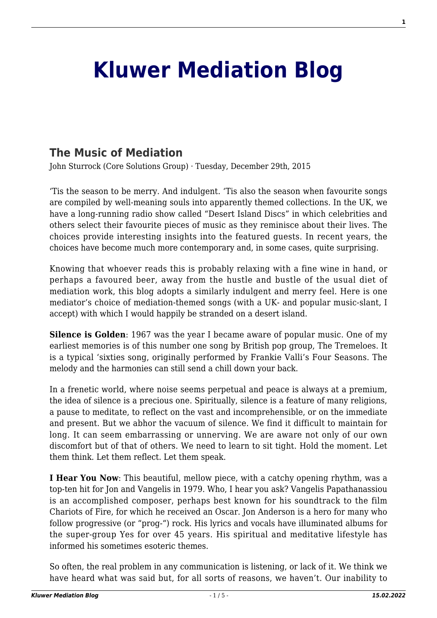## **[Kluwer Mediation Blog](http://mediationblog.kluwerarbitration.com/)**

## **[The Music of Mediation](http://mediationblog.kluwerarbitration.com/2015/12/29/the-music-of-mediation-john-sturrock/)**

John Sturrock (Core Solutions Group) · Tuesday, December 29th, 2015

'Tis the season to be merry. And indulgent. 'Tis also the season when favourite songs are compiled by well-meaning souls into apparently themed collections. In the UK, we have a long-running radio show called "Desert Island Discs" in which celebrities and others select their favourite pieces of music as they reminisce about their lives. The choices provide interesting insights into the featured guests. In recent years, the choices have become much more contemporary and, in some cases, quite surprising.

Knowing that whoever reads this is probably relaxing with a fine wine in hand, or perhaps a favoured beer, away from the hustle and bustle of the usual diet of mediation work, this blog adopts a similarly indulgent and merry feel. Here is one mediator's choice of mediation-themed songs (with a UK- and popular music-slant, I accept) with which I would happily be stranded on a desert island.

**Silence is Golden**: 1967 was the year I became aware of popular music. One of my earliest memories is of this number one song by British pop group, The Tremeloes. It is a typical 'sixties song, originally performed by Frankie Valli's Four Seasons. The melody and the harmonies can still send a chill down your back.

In a frenetic world, where noise seems perpetual and peace is always at a premium, the idea of silence is a precious one. Spiritually, silence is a feature of many religions, a pause to meditate, to reflect on the vast and incomprehensible, or on the immediate and present. But we abhor the vacuum of silence. We find it difficult to maintain for long. It can seem embarrassing or unnerving. We are aware not only of our own discomfort but of that of others. We need to learn to sit tight. Hold the moment. Let them think. Let them reflect. Let them speak.

**I Hear You Now**: This beautiful, mellow piece, with a catchy opening rhythm, was a top-ten hit for Jon and Vangelis in 1979. Who, I hear you ask? Vangelis Papathanassiou is an accomplished composer, perhaps best known for his soundtrack to the film Chariots of Fire, for which he received an Oscar. Jon Anderson is a hero for many who follow progressive (or "prog-") rock. His lyrics and vocals have illuminated albums for the super-group Yes for over 45 years. His spiritual and meditative lifestyle has informed his sometimes esoteric themes.

So often, the real problem in any communication is listening, or lack of it. We think we have heard what was said but, for all sorts of reasons, we haven't. Our inability to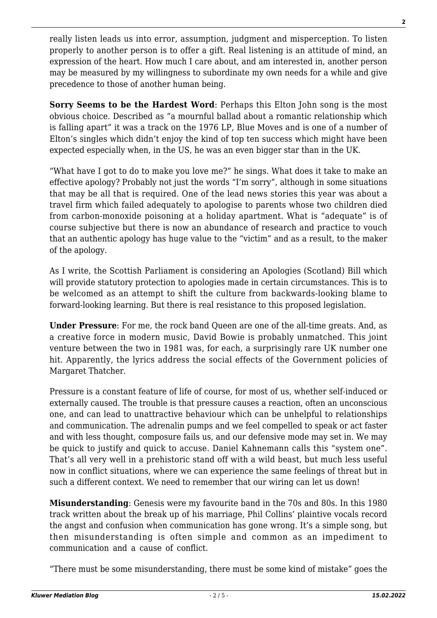really listen leads us into error, assumption, judgment and misperception. To listen properly to another person is to offer a gift. Real listening is an attitude of mind, an expression of the heart. How much I care about, and am interested in, another person may be measured by my willingness to subordinate my own needs for a while and give precedence to those of another human being.

**Sorry Seems to be the Hardest Word**: Perhaps this Elton John song is the most obvious choice. Described as "a mournful ballad about a romantic relationship which is falling apart" it was a track on the 1976 LP, Blue Moves and is one of a number of Elton's singles which didn't enjoy the kind of top ten success which might have been expected especially when, in the US, he was an even bigger star than in the UK.

"What have I got to do to make you love me?" he sings. What does it take to make an effective apology? Probably not just the words "I'm sorry", although in some situations that may be all that is required. One of the lead news stories this year was about a travel firm which failed adequately to apologise to parents whose two children died from carbon-monoxide poisoning at a holiday apartment. What is "adequate" is of course subjective but there is now an abundance of research and practice to vouch that an authentic apology has huge value to the "victim" and as a result, to the maker of the apology.

As I write, the Scottish Parliament is considering an Apologies (Scotland) Bill which will provide statutory protection to apologies made in certain circumstances. This is to be welcomed as an attempt to shift the culture from backwards-looking blame to forward-looking learning. But there is real resistance to this proposed legislation.

**Under Pressure**: For me, the rock band Queen are one of the all-time greats. And, as a creative force in modern music, David Bowie is probably unmatched. This joint venture between the two in 1981 was, for each, a surprisingly rare UK number one hit. Apparently, the lyrics address the social effects of the Government policies of Margaret Thatcher.

Pressure is a constant feature of life of course, for most of us, whether self-induced or externally caused. The trouble is that pressure causes a reaction, often an unconscious one, and can lead to unattractive behaviour which can be unhelpful to relationships and communication. The adrenalin pumps and we feel compelled to speak or act faster and with less thought, composure fails us, and our defensive mode may set in. We may be quick to justify and quick to accuse. Daniel Kahnemann calls this "system one". That's all very well in a prehistoric stand off with a wild beast, but much less useful now in conflict situations, where we can experience the same feelings of threat but in such a different context. We need to remember that our wiring can let us down!

**Misunderstanding**: Genesis were my favourite band in the 70s and 80s. In this 1980 track written about the break up of his marriage, Phil Collins' plaintive vocals record the angst and confusion when communication has gone wrong. It's a simple song, but then misunderstanding is often simple and common as an impediment to communication and a cause of conflict.

"There must be some misunderstanding, there must be some kind of mistake" goes the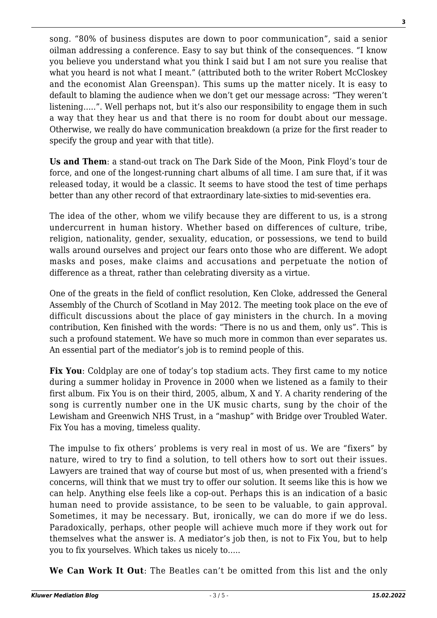song. "80% of business disputes are down to poor communication", said a senior oilman addressing a conference. Easy to say but think of the consequences. "I know you believe you understand what you think I said but I am not sure you realise that what you heard is not what I meant." (attributed both to the writer Robert McCloskey and the economist Alan Greenspan). This sums up the matter nicely. It is easy to default to blaming the audience when we don't get our message across: "They weren't listening…..". Well perhaps not, but it's also our responsibility to engage them in such a way that they hear us and that there is no room for doubt about our message. Otherwise, we really do have communication breakdown (a prize for the first reader to specify the group and year with that title).

**Us and Them**: a stand-out track on The Dark Side of the Moon, Pink Floyd's tour de force, and one of the longest-running chart albums of all time. I am sure that, if it was released today, it would be a classic. It seems to have stood the test of time perhaps better than any other record of that extraordinary late-sixties to mid-seventies era.

The idea of the other, whom we vilify because they are different to us, is a strong undercurrent in human history. Whether based on differences of culture, tribe, religion, nationality, gender, sexuality, education, or possessions, we tend to build walls around ourselves and project our fears onto those who are different. We adopt masks and poses, make claims and accusations and perpetuate the notion of difference as a threat, rather than celebrating diversity as a virtue.

One of the greats in the field of conflict resolution, Ken Cloke, addressed the General Assembly of the Church of Scotland in May 2012. The meeting took place on the eve of difficult discussions about the place of gay ministers in the church. In a moving contribution, Ken finished with the words: "There is no us and them, only us". This is such a profound statement. We have so much more in common than ever separates us. An essential part of the mediator's job is to remind people of this.

**Fix You**: Coldplay are one of today's top stadium acts. They first came to my notice during a summer holiday in Provence in 2000 when we listened as a family to their first album. Fix You is on their third, 2005, album, X and Y. A charity rendering of the song is currently number one in the UK music charts, sung by the choir of the Lewisham and Greenwich NHS Trust, in a "mashup" with Bridge over Troubled Water. Fix You has a moving, timeless quality.

The impulse to fix others' problems is very real in most of us. We are "fixers" by nature, wired to try to find a solution, to tell others how to sort out their issues. Lawyers are trained that way of course but most of us, when presented with a friend's concerns, will think that we must try to offer our solution. It seems like this is how we can help. Anything else feels like a cop-out. Perhaps this is an indication of a basic human need to provide assistance, to be seen to be valuable, to gain approval. Sometimes, it may be necessary. But, ironically, we can do more if we do less. Paradoxically, perhaps, other people will achieve much more if they work out for themselves what the answer is. A mediator's job then, is not to Fix You, but to help you to fix yourselves. Which takes us nicely to…..

**We Can Work It Out**: The Beatles can't be omitted from this list and the only

**3**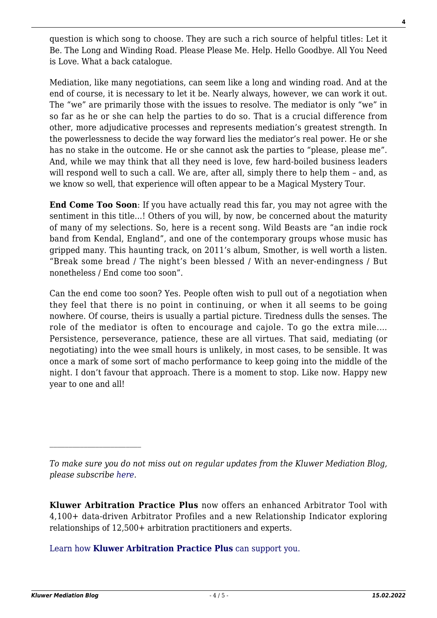question is which song to choose. They are such a rich source of helpful titles: Let it Be. The Long and Winding Road. Please Please Me. Help. Hello Goodbye. All You Need is Love. What a back catalogue.

Mediation, like many negotiations, can seem like a long and winding road. And at the end of course, it is necessary to let it be. Nearly always, however, we can work it out. The "we" are primarily those with the issues to resolve. The mediator is only "we" in so far as he or she can help the parties to do so. That is a crucial difference from other, more adjudicative processes and represents mediation's greatest strength. In the powerlessness to decide the way forward lies the mediator's real power. He or she has no stake in the outcome. He or she cannot ask the parties to "please, please me". And, while we may think that all they need is love, few hard-boiled business leaders will respond well to such a call. We are, after all, simply there to help them - and, as we know so well, that experience will often appear to be a Magical Mystery Tour.

**End Come Too Soon**: If you have actually read this far, you may not agree with the sentiment in this title…! Others of you will, by now, be concerned about the maturity of many of my selections. So, here is a recent song. Wild Beasts are "an indie rock band from Kendal, England", and one of the contemporary groups whose music has gripped many. This haunting track, on 2011's album, Smother, is well worth a listen. "Break some bread / The night's been blessed / With an never-endingness / But nonetheless / End come too soon".

Can the end come too soon? Yes. People often wish to pull out of a negotiation when they feel that there is no point in continuing, or when it all seems to be going nowhere. Of course, theirs is usually a partial picture. Tiredness dulls the senses. The role of the mediator is often to encourage and cajole. To go the extra mile.… Persistence, perseverance, patience, these are all virtues. That said, mediating (or negotiating) into the wee small hours is unlikely, in most cases, to be sensible. It was once a mark of some sort of macho performance to keep going into the middle of the night. I don't favour that approach. There is a moment to stop. Like now. Happy new year to one and all!

**Kluwer Arbitration Practice Plus** now offers an enhanced Arbitrator Tool with 4,100+ data-driven Arbitrator Profiles and a new Relationship Indicator exploring relationships of 12,500+ arbitration practitioners and experts.

[Learn how](https://www.wolterskluwer.com/en/solutions/kluwerarbitration/practiceplus?utm_source=mediationblog&utm_medium=articleCTA&utm_campaign=article-banner) **[Kluwer Arbitration Practice Plus](https://www.wolterskluwer.com/en/solutions/kluwerarbitration/practiceplus?utm_source=mediationblog&utm_medium=articleCTA&utm_campaign=article-banner)** [can support you.](https://www.wolterskluwer.com/en/solutions/kluwerarbitration/practiceplus?utm_source=mediationblog&utm_medium=articleCTA&utm_campaign=article-banner)

**4**

*To make sure you do not miss out on regular updates from the Kluwer Mediation Blog, please subscribe [here.](http://mediationblog.kluwerarbitration.com/newsletter/)*